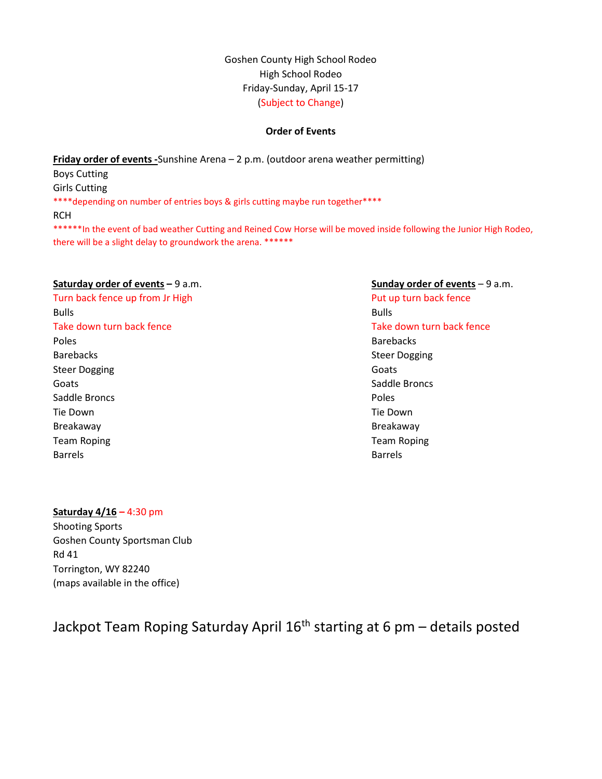Goshen County High School Rodeo High School Rodeo Friday-Sunday, April 15-17 (Subject to Change)

### Order of Events

Friday order of events -Sunshine Arena – 2 p.m. (outdoor arena weather permitting) Boys Cutting Girls Cutting \*\*\*\*depending on number of entries boys & girls cutting maybe run together\*\*\*\* RCH \*\*\*\*\*\*In the event of bad weather Cutting and Reined Cow Horse will be moved inside following the Junior High Rodeo, there will be a slight delay to groundwork the arena. \*\*\*\*\*\*

#### Saturday order of events – 9 a.m. Sunday order of events – 9 a.m.

Turn back fence up from Jr High Put up turn back fence Bulls Bulls Take down turn back fence Take down turn back fence Poles Barebacks Barebacks and the steer Dogging Steer Dogging Steer Dogging Steer Dogging Goats Goats **Saddle Broncs** Saddle Broncs **Saddle Broncs** Saddle Broncs **Poles** Poles **Poles** Tie Down Tie Down Breakaway **Breakaway Breakaway** Team Roping Team Roping Team Roping Team Roping Barrels **Barrels** 

### Saturday  $4/16 - 4:30$  pm

Shooting Sports Goshen County Sportsman Club Rd 41 Torrington, WY 82240 (maps available in the office)

# Jackpot Team Roping Saturday April 16<sup>th</sup> starting at 6 pm - details posted